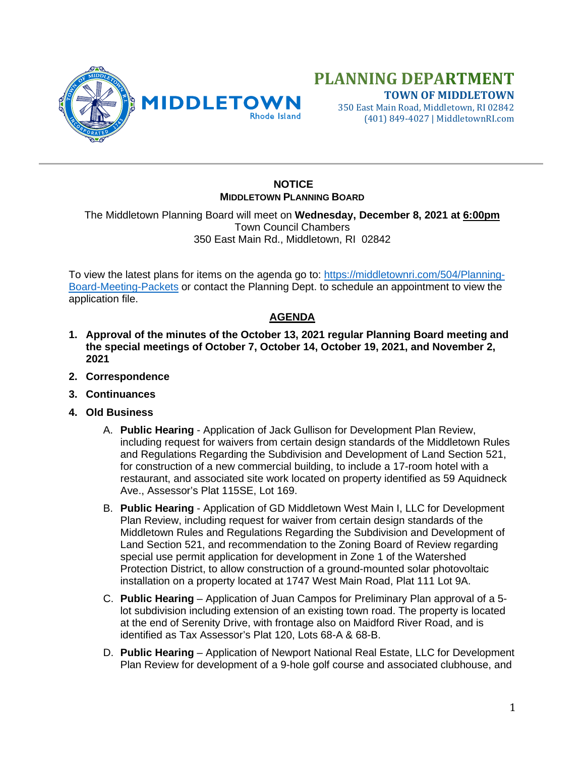

# **PLANNING DEPARTMENT TOWN OF MIDDLETOWN**

350 East Main Road, Middletown, RI 02842 (401) 849-4027 | MiddletownRI.com

## **NOTICE MIDDLETOWN PLANNING BOARD**

The Middletown Planning Board will meet on **Wednesday, December 8, 2021 at 6:00pm** Town Council Chambers 350 East Main Rd., Middletown, RI 02842

To view the latest plans for items on the agenda go to: [https://middletownri.com/504/Planning-](https://middletownri.com/504/Planning-Board-Meeting-Packets)[Board-Meeting-Packets](https://middletownri.com/504/Planning-Board-Meeting-Packets) or contact the Planning Dept. to schedule an appointment to view the application file.

## **AGENDA**

- **1. Approval of the minutes of the October 13, 2021 regular Planning Board meeting and the special meetings of October 7, October 14, October 19, 2021, and November 2, 2021**
- **2. Correspondence**
- **3. Continuances**
- **4. Old Business**
	- A. **Public Hearing** Application of Jack Gullison for Development Plan Review, including request for waivers from certain design standards of the Middletown Rules and Regulations Regarding the Subdivision and Development of Land Section 521, for construction of a new commercial building, to include a 17-room hotel with a restaurant, and associated site work located on property identified as 59 Aquidneck Ave., Assessor's Plat 115SE, Lot 169.
	- B. **Public Hearing** Application of GD Middletown West Main I, LLC for Development Plan Review, including request for waiver from certain design standards of the Middletown Rules and Regulations Regarding the Subdivision and Development of Land Section 521, and recommendation to the Zoning Board of Review regarding special use permit application for development in Zone 1 of the Watershed Protection District, to allow construction of a ground-mounted solar photovoltaic installation on a property located at 1747 West Main Road, Plat 111 Lot 9A.
	- C. **Public Hearing** Application of Juan Campos for Preliminary Plan approval of a 5 lot subdivision including extension of an existing town road. The property is located at the end of Serenity Drive, with frontage also on Maidford River Road, and is identified as Tax Assessor's Plat 120, Lots 68-A & 68-B.
	- D. **Public Hearing** Application of Newport National Real Estate, LLC for Development Plan Review for development of a 9-hole golf course and associated clubhouse, and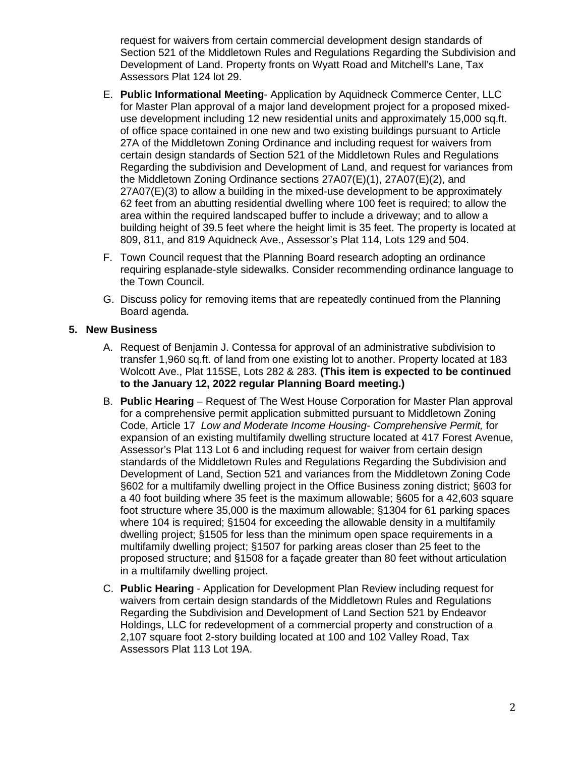request for waivers from certain commercial development design standards of Section 521 of the Middletown Rules and Regulations Regarding the Subdivision and Development of Land. Property fronts on Wyatt Road and Mitchell's Lane, Tax Assessors Plat 124 lot 29.

- E. **Public Informational Meeting** Application by Aquidneck Commerce Center, LLC for Master Plan approval of a major land development project for a proposed mixeduse development including 12 new residential units and approximately 15,000 sq.ft. of office space contained in one new and two existing buildings pursuant to Article 27A of the Middletown Zoning Ordinance and including request for waivers from certain design standards of Section 521 of the Middletown Rules and Regulations Regarding the subdivision and Development of Land, and request for variances from the Middletown Zoning Ordinance sections 27A07(E)(1), 27A07(E)(2), and 27A07(E)(3) to allow a building in the mixed-use development to be approximately 62 feet from an abutting residential dwelling where 100 feet is required; to allow the area within the required landscaped buffer to include a driveway; and to allow a building height of 39.5 feet where the height limit is 35 feet. The property is located at 809, 811, and 819 Aquidneck Ave., Assessor's Plat 114, Lots 129 and 504.
- F. Town Council request that the Planning Board research adopting an ordinance requiring esplanade-style sidewalks. Consider recommending ordinance language to the Town Council.
- G. Discuss policy for removing items that are repeatedly continued from the Planning Board agenda.

### **5. New Business**

- A. Request of Benjamin J. Contessa for approval of an administrative subdivision to transfer 1,960 sq.ft. of land from one existing lot to another. Property located at 183 Wolcott Ave., Plat 115SE, Lots 282 & 283. **(This item is expected to be continued to the January 12, 2022 regular Planning Board meeting.)**
- B. **Public Hearing** Request of The West House Corporation for Master Plan approval for a comprehensive permit application submitted pursuant to Middletown Zoning Code, Article 17 *Low and Moderate Income Housing- Comprehensive Permit,* for expansion of an existing multifamily dwelling structure located at 417 Forest Avenue, Assessor's Plat 113 Lot 6 and including request for waiver from certain design standards of the Middletown Rules and Regulations Regarding the Subdivision and Development of Land, Section 521 and variances from the Middletown Zoning Code §602 for a multifamily dwelling project in the Office Business zoning district; §603 for a 40 foot building where 35 feet is the maximum allowable; §605 for a 42,603 square foot structure where 35,000 is the maximum allowable; §1304 for 61 parking spaces where 104 is required; §1504 for exceeding the allowable density in a multifamily dwelling project; §1505 for less than the minimum open space requirements in a multifamily dwelling project; §1507 for parking areas closer than 25 feet to the proposed structure; and §1508 for a façade greater than 80 feet without articulation in a multifamily dwelling project.
- C. **Public Hearing** Application for Development Plan Review including request for waivers from certain design standards of the Middletown Rules and Regulations Regarding the Subdivision and Development of Land Section 521 by Endeavor Holdings, LLC for redevelopment of a commercial property and construction of a 2,107 square foot 2-story building located at 100 and 102 Valley Road, Tax Assessors Plat 113 Lot 19A.